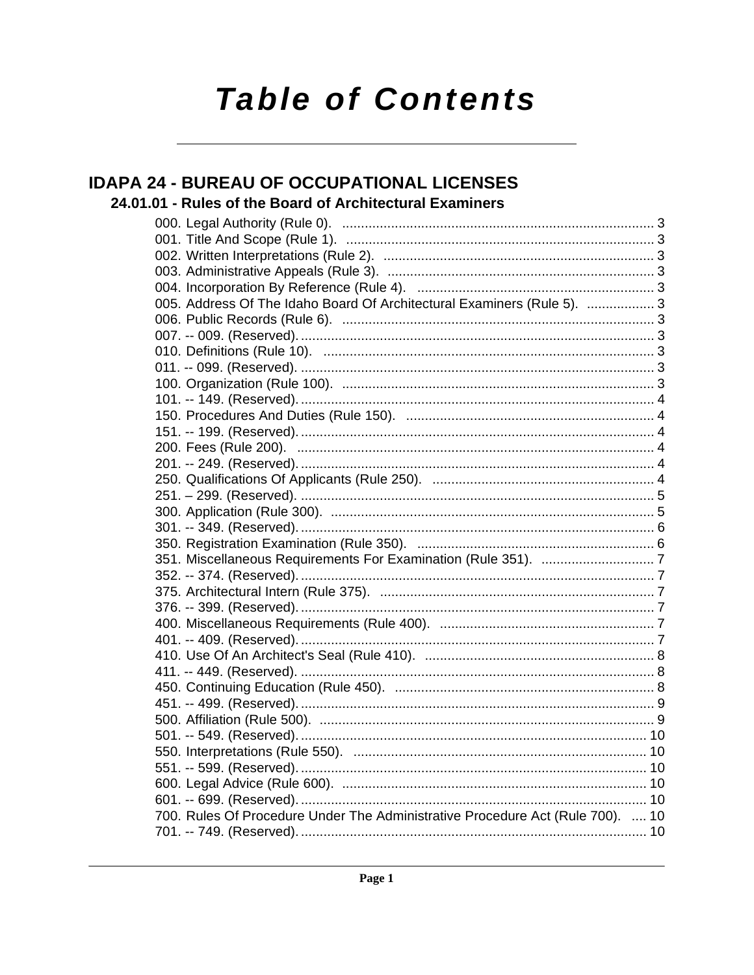# **Table of Contents**

## **IDAPA 24 - BUREAU OF OCCUPATIONAL LICENSES**

## 24.01.01 - Rules of the Board of Architectural Examiners

| 005. Address Of The Idaho Board Of Architectural Examiners (Rule 5).  3        |  |
|--------------------------------------------------------------------------------|--|
|                                                                                |  |
|                                                                                |  |
|                                                                                |  |
|                                                                                |  |
|                                                                                |  |
|                                                                                |  |
|                                                                                |  |
|                                                                                |  |
|                                                                                |  |
|                                                                                |  |
|                                                                                |  |
|                                                                                |  |
|                                                                                |  |
|                                                                                |  |
|                                                                                |  |
|                                                                                |  |
|                                                                                |  |
|                                                                                |  |
|                                                                                |  |
|                                                                                |  |
|                                                                                |  |
|                                                                                |  |
|                                                                                |  |
|                                                                                |  |
|                                                                                |  |
|                                                                                |  |
|                                                                                |  |
|                                                                                |  |
|                                                                                |  |
|                                                                                |  |
|                                                                                |  |
| 700. Rules Of Procedure Under The Administrative Procedure Act (Rule 700).  10 |  |
|                                                                                |  |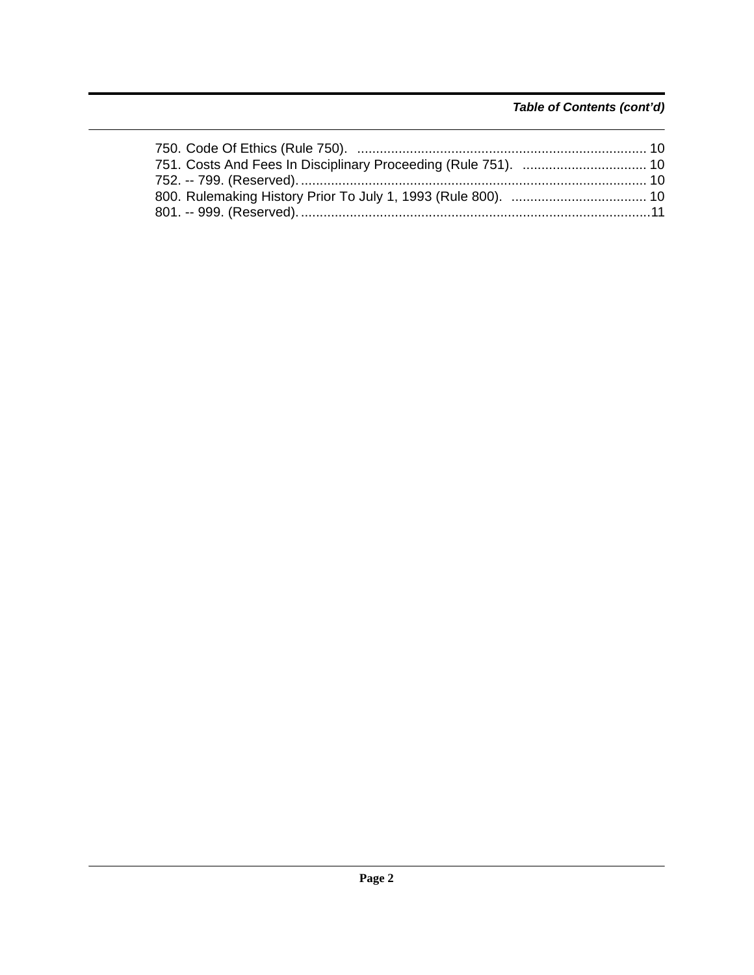## *Table of Contents (cont'd)*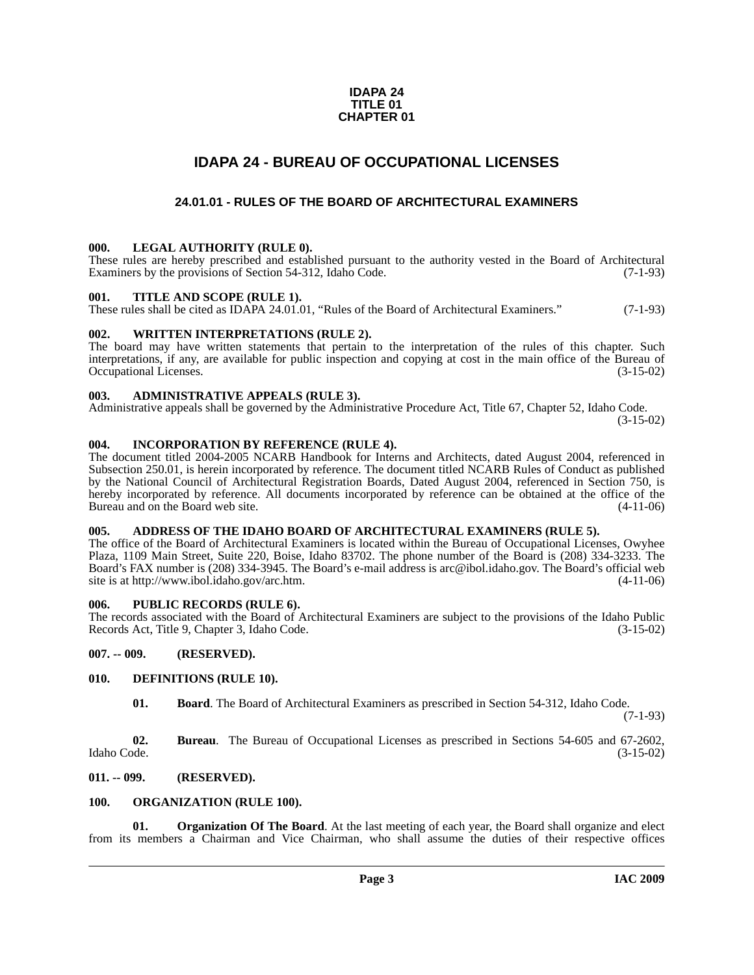#### **IDAPA 24 TITLE 01 CHAPTER 01**

## **IDAPA 24 - BUREAU OF OCCUPATIONAL LICENSES**

## **24.01.01 - RULES OF THE BOARD OF ARCHITECTURAL EXAMINERS**

#### <span id="page-2-2"></span><span id="page-2-1"></span><span id="page-2-0"></span>**000. LEGAL AUTHORITY (RULE 0).**

These rules are hereby prescribed and established pursuant to the authority vested in the Board of Architectural Examiners by the provisions of Section 54-312, Idaho Code. (7-1-93)

#### <span id="page-2-3"></span>**001. TITLE AND SCOPE (RULE 1).**

These rules shall be cited as IDAPA 24.01.01, "Rules of the Board of Architectural Examiners." (7-1-93)

#### <span id="page-2-4"></span>**002. WRITTEN INTERPRETATIONS (RULE 2).**

The board may have written statements that pertain to the interpretation of the rules of this chapter. Such interpretations, if any, are available for public inspection and copying at cost in the main office of the Bureau of Occupational Licenses. (3-15-02) Occupational Licenses.

#### <span id="page-2-5"></span>**003. ADMINISTRATIVE APPEALS (RULE 3).**

Administrative appeals shall be governed by the Administrative Procedure Act, Title 67, Chapter 52, Idaho Code.

(3-15-02)

#### <span id="page-2-6"></span>**004. INCORPORATION BY REFERENCE (RULE 4).**

The document titled 2004-2005 NCARB Handbook for Interns and Architects, dated August 2004, referenced in Subsection 250.01, is herein incorporated by reference. The document titled NCARB Rules of Conduct as published by the National Council of Architectural Registration Boards, Dated August 2004, referenced in Section 750, is hereby incorporated by reference. All documents incorporated by reference can be obtained at the office of the Bureau and on the Board web site. (4-11-06) Bureau and on the Board web site.

#### <span id="page-2-7"></span>**005. ADDRESS OF THE IDAHO BOARD OF ARCHITECTURAL EXAMINERS (RULE 5).**

[The office of the Board of Architectural Examiners is located within the Bureau of Occupational Licenses, Owyhee](mailto:arc@ibol.idaho.gov)  Plaza, 1109 Main Street, Suite 220, Boise, Idaho 83702. The phone number of the Board is (208) 334-3233. The Board's FAX number is (208) 334-3945. The Board's e-mail address is arc@ibol.idaho.gov. The Board's official web [site is at](mailto:arc@ibol.idaho.gov) http://www.ibol.idaho.gov/arc.htm.

#### <span id="page-2-8"></span>**006. PUBLIC RECORDS (RULE 6).**

The records associated with the Board of Architectural Examiners are subject to the provisions of the Idaho Public Records Act, Title 9, Chapter 3, Idaho Code. (3-15-02)

#### <span id="page-2-9"></span>**007. -- 009. (RESERVED).**

#### <span id="page-2-10"></span>**010. DEFINITIONS (RULE 10).**

<span id="page-2-13"></span>**01. Board**. The Board of Architectural Examiners as prescribed in Section 54-312, Idaho Code.

(7-1-93)

**02. Bureau**. The Bureau of Occupational Licenses as prescribed in Sections 54-605 and 67-2602, Idaho Code. (3-15-02)

#### <span id="page-2-11"></span>**011. -- 099. (RESERVED).**

#### <span id="page-2-14"></span><span id="page-2-12"></span>**100. ORGANIZATION (RULE 100).**

<span id="page-2-15"></span>**01. Organization Of The Board**. At the last meeting of each year, the Board shall organize and elect from its members a Chairman and Vice Chairman, who shall assume the duties of their respective offices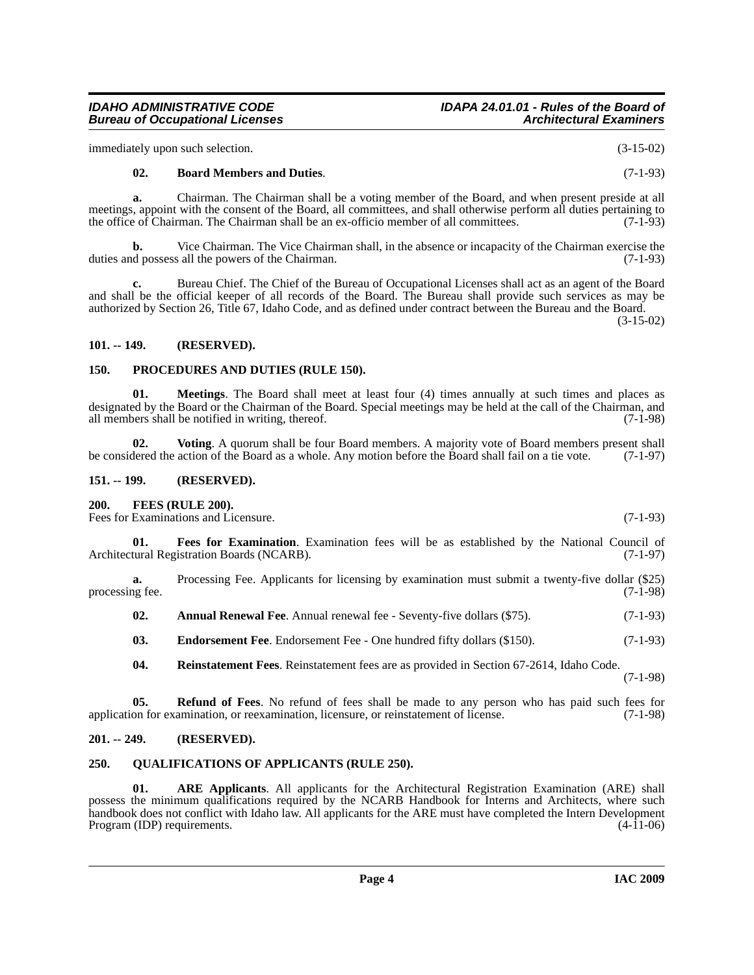*IDAHO ADMINISTRATIVE CODE IDAPA 24.01.01 - Rules of the Board of*

immediately upon such selection. (3-15-02)

*Bureau of Occupational Licenses* 

#### <span id="page-3-8"></span>**02. Board Members and Duties**. (7-1-93)

**a.** Chairman. The Chairman shall be a voting member of the Board, and when present preside at all meetings, appoint with the consent of the Board, all committees, and shall otherwise perform all duties pertaining to<br>the office of Chairman. The Chairman shall be an ex-officio member of all committees. (7-1-93) the office of Chairman. The Chairman shall be an ex-officio member of all committees.

**b.** Vice Chairman. The Vice Chairman shall, in the absence or incapacity of the Chairman exercise the duties and possess all the powers of the Chairman. (7-1-93)

**c.** Bureau Chief. The Chief of the Bureau of Occupational Licenses shall act as an agent of the Board and shall be the official keeper of all records of the Board. The Bureau shall provide such services as may be authorized by Section 26, Title 67, Idaho Code, and as defined under contract between the Bureau and the Board.

(3-15-02)

#### <span id="page-3-0"></span>**101. -- 149. (RESERVED).**

#### <span id="page-3-13"></span><span id="page-3-1"></span>**150. PROCEDURES AND DUTIES (RULE 150).**

<span id="page-3-12"></span>**01. Meetings**. The Board shall meet at least four (4) times annually at such times and places as designated by the Board or the Chairman of the Board. Special meetings may be held at the call of the Chairman, and all members shall be notified in writing, thereof. (7-1-98) all members shall be notified in writing, thereof.

<span id="page-3-17"></span>**02.** Voting. A quorum shall be four Board members. A majority vote of Board members present shall dered the action of the Board as a whole. Any motion before the Board shall fail on a tie vote. (7-1-97) be considered the action of the Board as a whole. Any motion before the Board shall fail on a tie vote.

#### <span id="page-3-2"></span>**151. -- 199. (RESERVED).**

#### <span id="page-3-10"></span><span id="page-3-3"></span>**200. FEES (RULE 200).**

Fees for Examinations and Licensure. (7-1-93)

<span id="page-3-11"></span>**01. Fees for Examination**. Examination fees will be as established by the National Council of Architectural Registration Boards (NCARB). (7-1-97)

**a.** Processing Fee. Applicants for licensing by examination must submit a twenty-five dollar (\$25) processing fee. (7-1-98)

<span id="page-3-6"></span>**02.** Annual Renewal Fee. Annual renewal fee - Seventy-five dollars (\$75). (7-1-93)

<span id="page-3-9"></span>**03.** Endorsement Fee. Endorsement Fee - One hundred fifty dollars (\$150). (7-1-93)

<span id="page-3-16"></span><span id="page-3-15"></span>**04. Reinstatement Fees**. Reinstatement fees are as provided in Section 67-2614, Idaho Code. (7-1-98)

**05. Refund of Fees**. No refund of fees shall be made to any person who has paid such fees for application for examination, or reexamination, licensure, or reinstatement of license. (7-1-98)

#### <span id="page-3-4"></span>**201. -- 249. (RESERVED).**

#### <span id="page-3-14"></span><span id="page-3-5"></span>**250. QUALIFICATIONS OF APPLICANTS (RULE 250).**

<span id="page-3-7"></span>**01. ARE Applicants**. All applicants for the Architectural Registration Examination (ARE) shall possess the minimum qualifications required by the NCARB Handbook for Interns and Architects, where such handbook does not conflict with Idaho law. All applicants for the ARE must have completed the Intern Development<br>Program (IDP) requirements. (4-11-06) Program (IDP) requirements.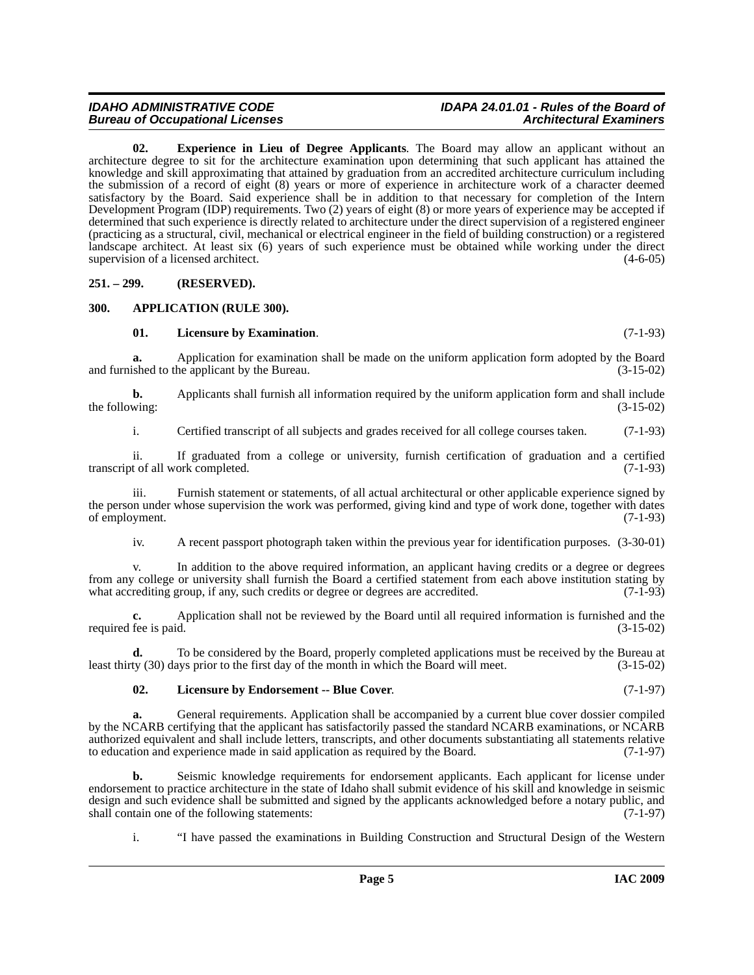# **Bureau of Occupational Licenses**

# *IDAHO ADMINISTRATIVE CODE IDAPA 24.01.01 - Rules of the Board of*

<span id="page-4-3"></span>**02. Experience in Lieu of Degree Applicants**. The Board may allow an applicant without an architecture degree to sit for the architecture examination upon determining that such applicant has attained the knowledge and skill approximating that attained by graduation from an accredited architecture curriculum including the submission of a record of eight (8) years or more of experience in architecture work of a character deemed satisfactory by the Board. Said experience shall be in addition to that necessary for completion of the Intern Development Program (IDP) requirements. Two (2) years of eight (8) or more years of experience may be accepted if determined that such experience is directly related to architecture under the direct supervision of a registered engineer (practicing as a structural, civil, mechanical or electrical engineer in the field of building construction) or a registered landscape architect. At least six (6) years of such experience must be obtained while working under the direct supervision of a licensed architect. (4-6-05)

<span id="page-4-0"></span>**251. – 299. (RESERVED).**

#### <span id="page-4-1"></span>**300. APPLICATION (RULE 300).**

#### <span id="page-4-5"></span><span id="page-4-2"></span>**01. Licensure by Examination**. (7-1-93)

**a.** Application for examination shall be made on the uniform application form adopted by the Board and furnished to the applicant by the Bureau. (3-15-02)

**b.** Applicants shall furnish all information required by the uniform application form and shall include wing: (3-15-02) the following:

i. Certified transcript of all subjects and grades received for all college courses taken. (7-1-93)

ii. If graduated from a college or university, furnish certification of graduation and a certified transcript of all work completed. (7-1-93)

iii. Furnish statement or statements, of all actual architectural or other applicable experience signed by the person under whose supervision the work was performed, giving kind and type of work done, together with dates of employment. (7-1-93) of employment.

iv. A recent passport photograph taken within the previous year for identification purposes. (3-30-01)

v. In addition to the above required information, an applicant having credits or a degree or degrees from any college or university shall furnish the Board a certified statement from each above institution stating by what accrediting group, if any, such credits or degree or degrees are accredited. (7-1-93) what accrediting group, if any, such credits or degree or degrees are accredited.

**c.** Application shall not be reviewed by the Board until all required information is furnished and the fee is paid.  $(3-15-02)$ required fee is paid.

**d.** To be considered by the Board, properly completed applications must be received by the Bureau at least thirty (30) days prior to the first day of the month in which the Board will meet. (3-15-02)

### <span id="page-4-4"></span>**02. Licensure by Endorsement -- Blue Cover**. (7-1-97)

**a.** General requirements. Application shall be accompanied by a current blue cover dossier compiled by the NCARB certifying that the applicant has satisfactorily passed the standard NCARB examinations, or NCARB authorized equivalent and shall include letters, transcripts, and other documents substantiating all statements relative to education and experience made in said application as required by the Board. (7-1-97) to education and experience made in said application as required by the Board.

**b.** Seismic knowledge requirements for endorsement applicants. Each applicant for license under endorsement to practice architecture in the state of Idaho shall submit evidence of his skill and knowledge in seismic design and such evidence shall be submitted and signed by the applicants acknowledged before a notary public, and shall contain one of the following statements: (7-1-97) shall contain one of the following statements:

i. "I have passed the examinations in Building Construction and Structural Design of the Western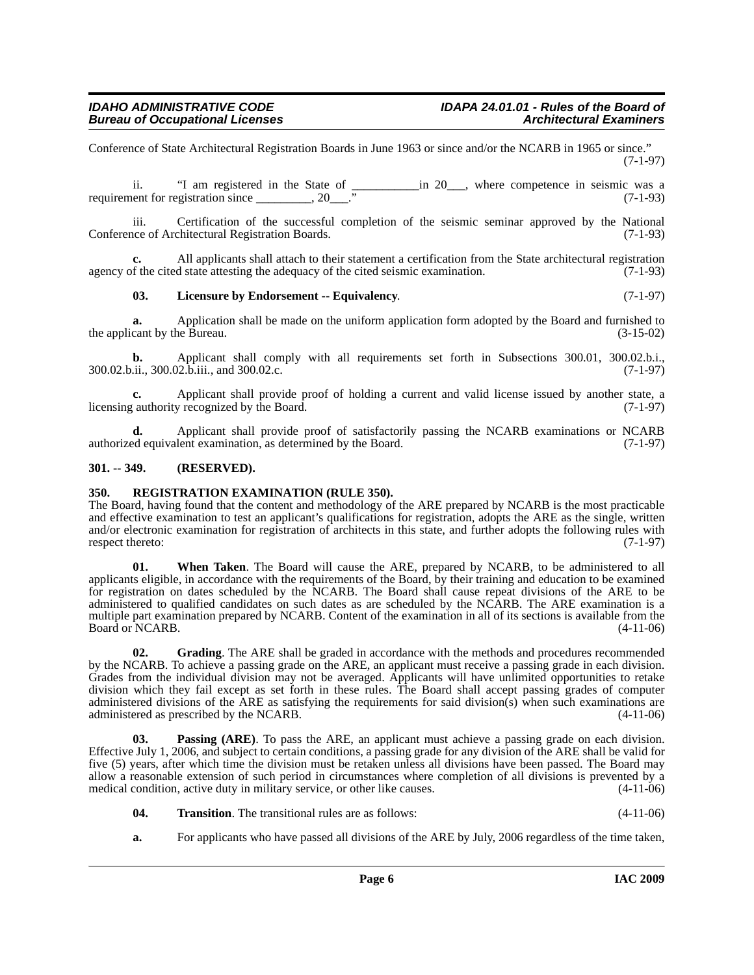Conference of State Architectural Registration Boards in June 1963 or since and/or the NCARB in 1965 or since." (7-1-97)

ii. "I am registered in the State of  $\frac{100}{100}$  in 20\_\_\_, where competence in seismic was a requirement for registration since \_\_\_\_\_\_\_\_, 20\_\_\_." (7-1-93)

iii. Certification of the successful completion of the seismic seminar approved by the National nee of Architectural Registration Boards. (7-1-93) Conference of Architectural Registration Boards.

**c.** All applicants shall attach to their statement a certification from the State architectural registration agency of the cited state attesting the adequacy of the cited seismic examination.  $(7-1-93)$ 

#### <span id="page-5-3"></span>**03. Licensure by Endorsement -- Equivalency**. (7-1-97)

**a.** Application shall be made on the uniform application form adopted by the Board and furnished to cant by the Bureau. (3-15-02) the applicant by the Bureau.

**b.** Applicant shall comply with all requirements set forth in Subsections 300.01, 300.02.b.i., 300.02.b.ii., 300.02.b.iii., and 300.02.c. (7-1-97)

**c.** Applicant shall provide proof of holding a current and valid license issued by another state, a cauthority recognized by the Board. (7-1-97) licensing authority recognized by the Board.

**d.** Applicant shall provide proof of satisfactorily passing the NCARB examinations or NCARB authorized equivalent examination, as determined by the Board. (7-1-97)

#### <span id="page-5-0"></span>**301. -- 349. (RESERVED).**

#### <span id="page-5-5"></span><span id="page-5-1"></span>**350. REGISTRATION EXAMINATION (RULE 350).**

The Board, having found that the content and methodology of the ARE prepared by NCARB is the most practicable and effective examination to test an applicant's qualifications for registration, adopts the ARE as the single, written and/or electronic examination for registration of architects in this state, and further adopts the following rules with respect thereto: (7-1-97)

**01. When Taken**. The Board will cause the ARE, prepared by NCARB, to be administered to all applicants eligible, in accordance with the requirements of the Board, by their training and education to be examined for registration on dates scheduled by the NCARB. The Board shall cause repeat divisions of the ARE to be administered to qualified candidates on such dates as are scheduled by the NCARB. The ARE examination is a multiple part examination prepared by NCARB. Content of the examination in all of its sections is available from the Board or NCARB. (4-11-06) Board or NCARB.

<span id="page-5-2"></span>**02. Grading**. The ARE shall be graded in accordance with the methods and procedures recommended by the NCARB. To achieve a passing grade on the ARE, an applicant must receive a passing grade in each division. Grades from the individual division may not be averaged. Applicants will have unlimited opportunities to retake division which they fail except as set forth in these rules. The Board shall accept passing grades of computer administered divisions of the ARE as satisfying the requirements for said division(s) when such examinations are administered as prescribed by the NCARB. (4-11-06)

<span id="page-5-4"></span>**03. Passing (ARE)**. To pass the ARE, an applicant must achieve a passing grade on each division. Effective July 1, 2006, and subject to certain conditions, a passing grade for any division of the ARE shall be valid for five (5) years, after which time the division must be retaken unless all divisions have been passed. The Board may allow a reasonable extension of such period in circumstances where completion of all divisions is prevented by a medical condition, active duty in military service, or other like causes. (4-11-06)

- <span id="page-5-6"></span>**04. Transition**. The transitional rules are as follows: (4-11-06)
- **a.** For applicants who have passed all divisions of the ARE by July, 2006 regardless of the time taken,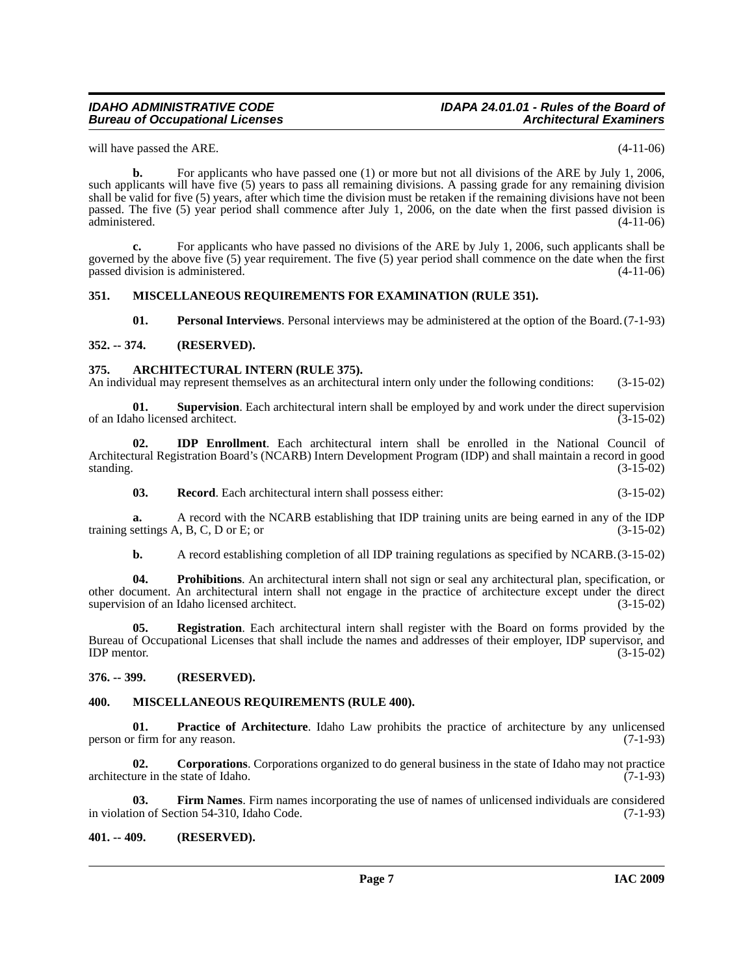# *Bureau of Occupational Licenses*

# *IDAHO ADMINISTRATIVE CODE IDAPA 24.01.01 - Rules of the Board of*

will have passed the ARE. (4-11-06)

**b.** For applicants who have passed one (1) or more but not all divisions of the ARE by July 1, 2006, such applicants will have five (5) years to pass all remaining divisions. A passing grade for any remaining division shall be valid for five (5) years, after which time the division must be retaken if the remaining divisions have not been passed. The five (5) year period shall commence after July 1, 2006, on the date when the first passed division is administered.

**c.** For applicants who have passed no divisions of the ARE by July 1, 2006, such applicants shall be governed by the above five (5) year requirement. The five (5) year period shall commence on the date when the first passed division is administered. (4-11-06)

#### <span id="page-6-0"></span>**351. MISCELLANEOUS REQUIREMENTS FOR EXAMINATION (RULE 351).**

<span id="page-6-17"></span><span id="page-6-12"></span><span id="page-6-11"></span><span id="page-6-6"></span>**01. Personal Interviews**. Personal interviews may be administered at the option of the Board.(7-1-93)

#### <span id="page-6-1"></span>**352. -- 374. (RESERVED).**

#### <span id="page-6-2"></span>**375. ARCHITECTURAL INTERN (RULE 375).**

An individual may represent themselves as an architectural intern only under the following conditions: (3-15-02)

**01. Supervision**. Each architectural intern shall be employed by and work under the direct supervision ho licensed architect. (3-15-02) of an Idaho licensed architect.

**02. IDP Enrollment**. Each architectural intern shall be enrolled in the National Council of Architectural Registration Board's (NCARB) Intern Development Program (IDP) and shall maintain a record in good standing.  $(3-15-02)$ 

<span id="page-6-15"></span><span id="page-6-9"></span>**03. Record**. Each architectural intern shall possess either: (3-15-02)

**a.** A record with the NCARB establishing that IDP training units are being earned in any of the IDP settings A, B, C, D or E; or training settings  $A$ ,  $B$ ,  $C$ ,  $D$  or  $E$ ; or

<span id="page-6-16"></span><span id="page-6-14"></span>**b.** A record establishing completion of all IDP training regulations as specified by NCARB.(3-15-02)

**04. Prohibitions**. An architectural intern shall not sign or seal any architectural plan, specification, or other document. An architectural intern shall not engage in the practice of architecture except under the direct supervision of an Idaho licensed architect. (3-15-02)

**05. Registration**. Each architectural intern shall register with the Board on forms provided by the Bureau of Occupational Licenses that shall include the names and addresses of their employer, IDP supervisor, and  $IDP$  mentor.  $(3-15-02)$ 

#### <span id="page-6-3"></span>**376. -- 399. (RESERVED).**

#### <span id="page-6-10"></span><span id="page-6-4"></span>**400. MISCELLANEOUS REQUIREMENTS (RULE 400).**

<span id="page-6-13"></span>**01. Practice of Architecture**. Idaho Law prohibits the practice of architecture by any unlicensed r firm for any reason. (7-1-93) person or firm for any reason.

<span id="page-6-7"></span>**02. Corporations**. Corporations organized to do general business in the state of Idaho may not practice architecture in the state of Idaho. (7-1-93)

<span id="page-6-8"></span>**03. Firm Names**. Firm names incorporating the use of names of unlicensed individuals are considered on of Section 54-310, Idaho Code. (7-1-93) in violation of Section 54-310, Idaho Code.

#### <span id="page-6-5"></span>**401. -- 409. (RESERVED).**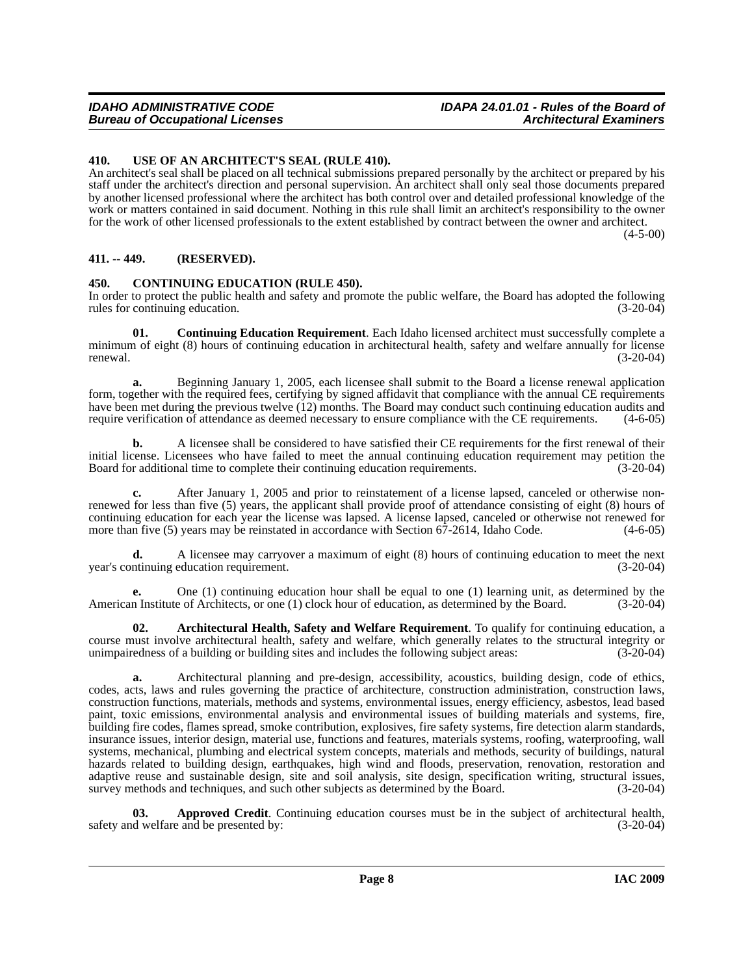#### <span id="page-7-0"></span>**410. USE OF AN ARCHITECT'S SEAL (RULE 410).**

An architect's seal shall be placed on all technical submissions prepared personally by the architect or prepared by his staff under the architect's direction and personal supervision. An architect shall only seal those documents prepared by another licensed professional where the architect has both control over and detailed professional knowledge of the work or matters contained in said document. Nothing in this rule shall limit an architect's responsibility to the owner for the work of other licensed professionals to the extent established by contract between the owner and architect.

 $(4 - 5 - 00)$ 

#### <span id="page-7-1"></span>**411. -- 449. (RESERVED).**

#### <span id="page-7-4"></span><span id="page-7-2"></span>**450. CONTINUING EDUCATION (RULE 450).**

In order to protect the public health and safety and promote the public welfare, the Board has adopted the following rules for continuing education. (3-20-04)

<span id="page-7-5"></span>**01. Continuing Education Requirement**. Each Idaho licensed architect must successfully complete a minimum of eight (8) hours of continuing education in architectural health, safety and welfare annually for license renewal. (3-20-04)

**a.** Beginning January 1, 2005, each licensee shall submit to the Board a license renewal application form, together with the required fees, certifying by signed affidavit that compliance with the annual CE requirements have been met during the previous twelve (12) months. The Board may conduct such continuing education audits and require verification of attendance as deemed necessary to ensure compliance with the CE requirements. (4-6-05 require verification of attendance as deemed necessary to ensure compliance with the CE requirements.

**b.** A licensee shall be considered to have satisfied their CE requirements for the first renewal of their initial license. Licensees who have failed to meet the annual continuing education requirement may petition the Board for additional time to complete their continuing education requirements. (3-20-04)

**c.** After January 1, 2005 and prior to reinstatement of a license lapsed, canceled or otherwise nonrenewed for less than five (5) years, the applicant shall provide proof of attendance consisting of eight (8) hours of continuing education for each year the license was lapsed. A license lapsed, canceled or otherwise not renewed for more than five (5) years may be reinstated in accordance with Section 67-2614, Idaho Code. (4-6-05) more than five  $(5)$  years may be reinstated in accordance with Section  $67-2614$ , Idaho Code.

**d.** A licensee may carryover a maximum of eight (8) hours of continuing education to meet the next (3-20-04) (3-20-04) year's continuing education requirement.

**e.** One (1) continuing education hour shall be equal to one (1) learning unit, as determined by the American Institute of Architects, or one (1) clock hour of education, as determined by the Board. (3-20-04)

<span id="page-7-3"></span>**02. Architectural Health, Safety and Welfare Requirement**. To qualify for continuing education, a course must involve architectural health, safety and welfare, which generally relates to the structural integrity or unimpairedness of a building or building sites and includes the following subject areas: (3-20-04)

**a.** Architectural planning and pre-design, accessibility, acoustics, building design, code of ethics, codes, acts, laws and rules governing the practice of architecture, construction administration, construction laws, construction functions, materials, methods and systems, environmental issues, energy efficiency, asbestos, lead based paint, toxic emissions, environmental analysis and environmental issues of building materials and systems, fire, building fire codes, flames spread, smoke contribution, explosives, fire safety systems, fire detection alarm standards, insurance issues, interior design, material use, functions and features, materials systems, roofing, waterproofing, wall systems, mechanical, plumbing and electrical system concepts, materials and methods, security of buildings, natural hazards related to building design, earthquakes, high wind and floods, preservation, renovation, restoration and adaptive reuse and sustainable design, site and soil analysis, site design, specification writing, structural issues, survey methods and techniques, and such other subjects as determined by the Board. (3-20-04)

**03. Approved Credit**. Continuing education courses must be in the subject of architectural health, d welfare and be presented by: (3-20-04) safety and welfare and be presented by: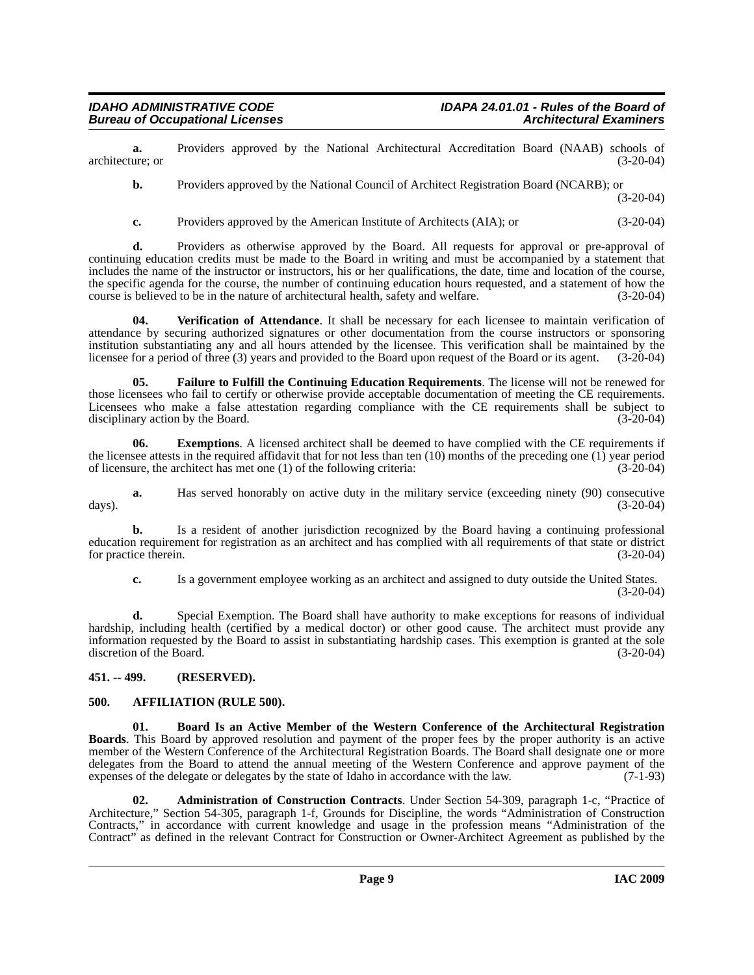**a.** Providers approved by the National Architectural Accreditation Board (NAAB) schools of ure: or architecture; or

**b.** Providers approved by the National Council of Architect Registration Board (NCARB); or

(3-20-04)

**c.** Providers approved by the American Institute of Architects (AIA); or (3-20-04)

**d.** Providers as otherwise approved by the Board. All requests for approval or pre-approval of continuing education credits must be made to the Board in writing and must be accompanied by a statement that includes the name of the instructor or instructors, his or her qualifications, the date, time and location of the course, the specific agenda for the course, the number of continuing education hours requested, and a statement of how the course is believed to be in the nature of architectural health, safety and welfare. (3-20-04) course is believed to be in the nature of architectural health, safety and welfare.

<span id="page-8-6"></span>**04. Verification of Attendance**. It shall be necessary for each licensee to maintain verification of attendance by securing authorized signatures or other documentation from the course instructors or sponsoring institution substantiating any and all hours attended by the licensee. This verification shall be maintained by the licensee for a period of three (3) years and provided to the Board upon request of the Board or its agent. (3-20-04)

<span id="page-8-5"></span>**05. Failure to Fulfill the Continuing Education Requirements**. The license will not be renewed for those licensees who fail to certify or otherwise provide acceptable documentation of meeting the CE requirements. Licensees who make a false attestation regarding compliance with the CE requirements shall be subject to disciplinary action by the Board. (3-20-04) disciplinary action by the Board.

**06.** Exemptions. A licensed architect shall be deemed to have complied with the CE requirements if the licensee attests in the required affidavit that for not less than ten  $(10)$  months of the preceding one  $(1)$  year period of licensure, the architect has met one (1) of the following criteria: (3-20-04)

**a.** Has served honorably on active duty in the military service (exceeding ninety (90) consecutive days). (3-20-04)

**b.** Is a resident of another jurisdiction recognized by the Board having a continuing professional education requirement for registration as an architect and has complied with all requirements of that state or district for practice therein.

**c.** Is a government employee working as an architect and assigned to duty outside the United States. (3-20-04)

**d.** Special Exemption. The Board shall have authority to make exceptions for reasons of individual hardship, including health (certified by a medical doctor) or other good cause. The architect must provide any information requested by the Board to assist in substantiating hardship cases. This exemption is granted at the sole discretion of the Board. (3-20-04)

### <span id="page-8-0"></span>**451. -- 499. (RESERVED).**

#### <span id="page-8-3"></span><span id="page-8-1"></span>**500. AFFILIATION (RULE 500).**

<span id="page-8-4"></span>**01. Board Is an Active Member of the Western Conference of the Architectural Registration Boards**. This Board by approved resolution and payment of the proper fees by the proper authority is an active member of the Western Conference of the Architectural Registration Boards. The Board shall designate one or more delegates from the Board to attend the annual meeting of the Western Conference and approve payment of the expenses of the delegate or delegates by the state of Idaho in accordance with the law. (7-1-93)

<span id="page-8-2"></span>**02. Administration of Construction Contracts**. Under Section 54-309, paragraph 1-c, "Practice of Architecture," Section 54-305, paragraph 1-f, Grounds for Discipline, the words "Administration of Construction Contracts," in accordance with current knowledge and usage in the profession means "Administration of the Contract" as defined in the relevant Contract for Construction or Owner-Architect Agreement as published by the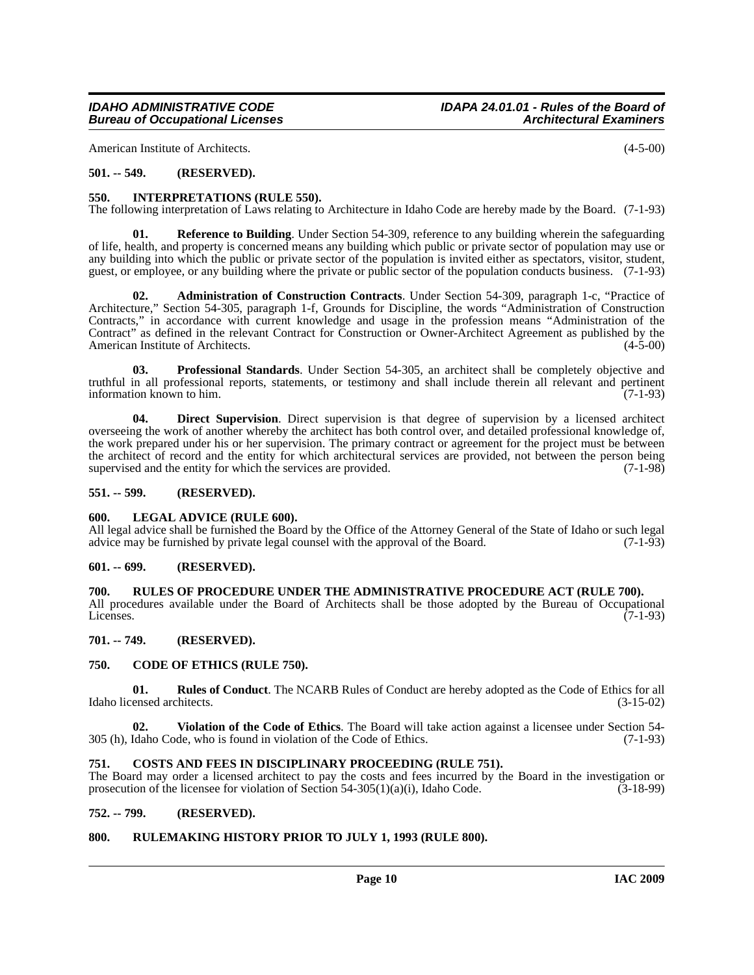American Institute of Architects. (4-5-00)

#### <span id="page-9-0"></span>**501. -- 549. (RESERVED).**

#### <span id="page-9-15"></span><span id="page-9-1"></span>**550. INTERPRETATIONS (RULE 550).**

The following interpretation of Laws relating to Architecture in Idaho Code are hereby made by the Board. (7-1-93)

<span id="page-9-18"></span>**01. Reference to Building**. Under Section 54-309, reference to any building wherein the safeguarding of life, health, and property is concerned means any building which public or private sector of population may use or any building into which the public or private sector of the population is invited either as spectators, visitor, student, guest, or employee, or any building where the private or public sector of the population conducts business. (7-1-93)

<span id="page-9-11"></span>**02. Administration of Construction Contracts**. Under Section 54-309, paragraph 1-c, "Practice of Architecture," Section 54-305, paragraph 1-f, Grounds for Discipline, the words "Administration of Construction Contracts," in accordance with current knowledge and usage in the profession means "Administration of the Contract" as defined in the relevant Contract for Construction or Owner-Architect Agreement as published by the American Institute of Architects. (4-5-00) American Institute of Architects.

<span id="page-9-17"></span>**03. Professional Standards**. Under Section 54-305, an architect shall be completely objective and truthful in all professional reports, statements, or testimony and shall include therein all relevant and pertinent information known to him.  $(7-1-93)$ 

<span id="page-9-14"></span>**04. Direct Supervision**. Direct supervision is that degree of supervision by a licensed architect overseeing the work of another whereby the architect has both control over, and detailed professional knowledge of, the work prepared under his or her supervision. The primary contract or agreement for the project must be between the architect of record and the entity for which architectural services are provided, not between the person being supervised and the entity for which the services are provided.  $(7-1-98)$ 

#### <span id="page-9-2"></span>**551. -- 599. (RESERVED).**

#### <span id="page-9-16"></span><span id="page-9-3"></span>**600. LEGAL ADVICE (RULE 600).**

All legal advice shall be furnished the Board by the Office of the Attorney General of the State of Idaho or such legal advice may be furnished by private legal counsel with the approval of the Board. (7-1-93)

#### <span id="page-9-4"></span>**601. -- 699. (RESERVED).**

#### <span id="page-9-5"></span>**700. RULES OF PROCEDURE UNDER THE ADMINISTRATIVE PROCEDURE ACT (RULE 700).**

All procedures available under the Board of Architects shall be those adopted by the Bureau of Occupational Licenses.  $(7-1-93)$ 

#### <span id="page-9-6"></span>**701. -- 749. (RESERVED).**

#### <span id="page-9-12"></span><span id="page-9-7"></span>**750. CODE OF ETHICS (RULE 750).**

<span id="page-9-19"></span>**01. Rules of Conduct**. The NCARB Rules of Conduct are hereby adopted as the Code of Ethics for all ensed architects. (3-15-02) Idaho licensed architects.

<span id="page-9-20"></span>**02. Violation of the Code of Ethics**. The Board will take action against a licensee under Section 54- 305 (h), Idaho Code, who is found in violation of the Code of Ethics. (7-1-93)

#### <span id="page-9-13"></span><span id="page-9-8"></span>**751. COSTS AND FEES IN DISCIPLINARY PROCEEDING (RULE 751).**

The Board may order a licensed architect to pay the costs and fees incurred by the Board in the investigation or prosecution of the licensee for violation of Section 54-305(1)(a)(i), Idaho Code.  $(3-18-99)$ 

#### <span id="page-9-9"></span>**752. -- 799. (RESERVED).**

#### <span id="page-9-10"></span>**800. RULEMAKING HISTORY PRIOR TO JULY 1, 1993 (RULE 800).**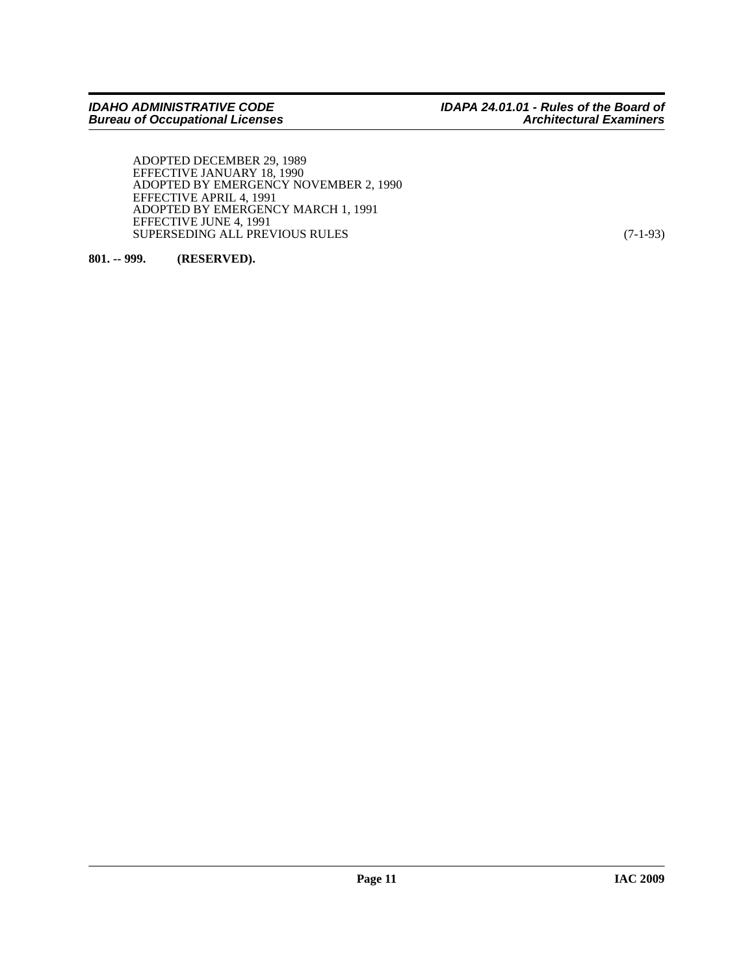ADOPTED DECEMBER 29, 1989 EFFECTIVE JANUARY 18, 1990 ADOPTED BY EMERGENCY NOVEMBER 2, 1990 EFFECTIVE APRIL 4, 1991 ADOPTED BY EMERGENCY MARCH 1, 1991 EFFECTIVE JUNE 4, 1991 SUPERSEDING ALL PREVIOUS RULES (7-1-93)

<span id="page-10-0"></span>**801. -- 999. (RESERVED).**